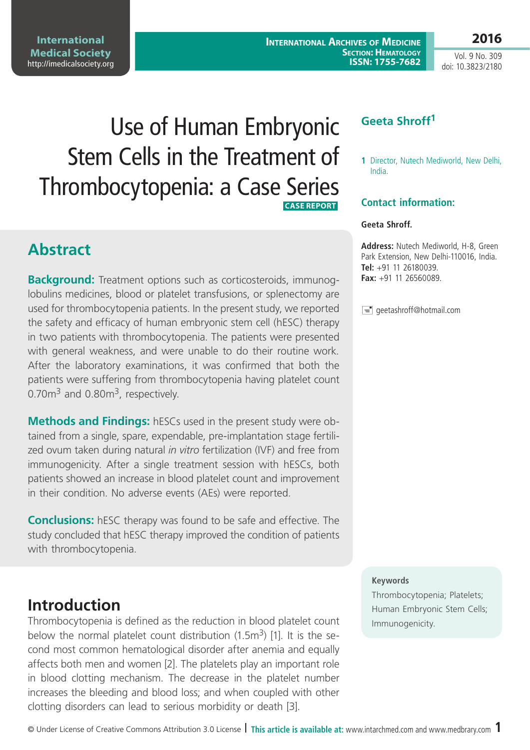**International Medical Society**  <http://imedicalsociety.org>

**International Archives of Medicine Section: Hematology ISSN: 1755-7682** **2016**

Vol. 9 No. 309 doi: 10.3823/2180

# Use of Human Embryonic Stem Cells in the Treatment of Thrombocytopenia: a Case Series  **CASE REPORT**

### **Abstract**

**Background:** Treatment options such as corticosteroids, immunoglobulins medicines, blood or platelet transfusions, or splenectomy are used for thrombocytopenia patients. In the present study, we reported the safety and efficacy of human embryonic stem cell (hESC) therapy in two patients with thrombocytopenia. The patients were presented with general weakness, and were unable to do their routine work*.*  After the laboratory examinations, it was confirmed that both the patients were suffering from thrombocytopenia having platelet count  $0.70m<sup>3</sup>$  and  $0.80m<sup>3</sup>$ , respectively.

**Methods and Findings:** hESCs used in the present study were obtained from a single, spare, expendable, pre-implantation stage fertilized ovum taken during natural *in vitro* fertilization (IVF) and free from immunogenicity. After a single treatment session with hESCs, both patients showed an increase in blood platelet count and improvement in their condition. No adverse events (AEs) were reported.

**Conclusions:** hESC therapy was found to be safe and effective. The study concluded that hESC therapy improved the condition of patients with thrombocytopenia.

# **Introduction**

Thrombocytopenia is defined as the reduction in blood platelet count below the normal platelet count distribution  $(1.5m^3)$  [1]. It is the second most common hematological disorder after anemia and equally affects both men and women [2]. The platelets play an important role in blood clotting mechanism. The decrease in the platelet number increases the bleeding and blood loss; and when coupled with other clotting disorders can lead to serious morbidity or death [3].

### **Geeta Shroff1**

**1** Director, Nutech Mediworld, New Delhi, India.

#### **Contact information:**

#### **Geeta Shroff.**

**Address:** Nutech Mediworld, H-8, Green Park Extension, New Delhi-110016, India. **Tel:** +91 11 26180039. **Fax:** +91 11 26560089.

 $\equiv$  geetashroff@hotmail.com

#### **Keywords**

Thrombocytopenia; Platelets; Human Embryonic Stem Cells; Immunogenicity.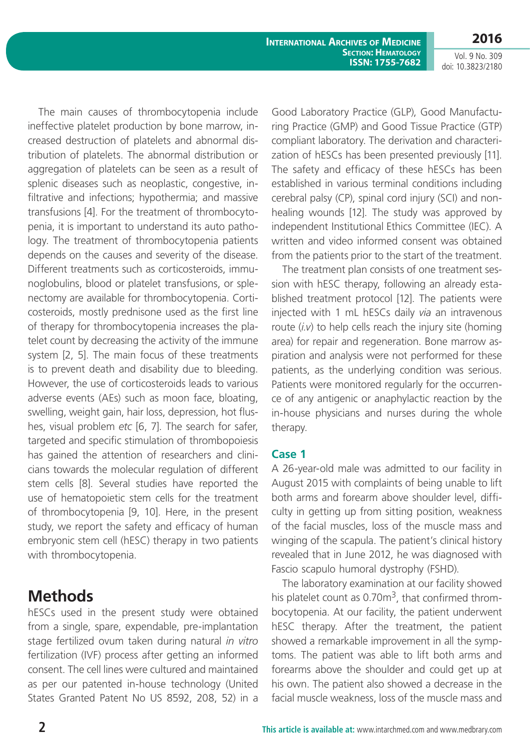**International Archives of Medicine Section: Hematology ISSN: 1755-7682** **2016**

Vol. 9 No. 309 doi: 10.3823/2180

The main causes of thrombocytopenia include ineffective platelet production by bone marrow, increased destruction of platelets and abnormal distribution of platelets. The abnormal distribution or aggregation of platelets can be seen as a result of splenic diseases such as neoplastic, congestive, infiltrative and infections; hypothermia; and massive transfusions [4]. For the treatment of thrombocytopenia, it is important to understand its auto pathology. The treatment of thrombocytopenia patients depends on the causes and severity of the disease. Different treatments such as corticosteroids, immunoglobulins, blood or platelet transfusions, or splenectomy are available for thrombocytopenia. Corticosteroids, mostly prednisone used as the first line of therapy for thrombocytopenia increases the platelet count by decreasing the activity of the immune system [2, 5]. The main focus of these treatments is to prevent death and disability due to bleeding. However, the use of corticosteroids leads to various adverse events (AEs) such as moon face, bloating, swelling, weight gain, hair loss, depression, hot flushes, visual problem *etc* [6, 7]. The search for safer, targeted and specific stimulation of thrombopoiesis has gained the attention of researchers and clinicians towards the molecular regulation of different stem cells [8]. Several studies have reported the use of hematopoietic stem cells for the treatment of thrombocytopenia [9, 10]. Here, in the present study, we report the safety and efficacy of human embryonic stem cell (hESC) therapy in two patients with thrombocytopenia.

### **Methods**

hESCs used in the present study were obtained from a single, spare, expendable, pre-implantation stage fertilized ovum taken during natural *in vitro* fertilization (IVF) process after getting an informed consent. The cell lines were cultured and maintained as per our patented in-house technology (United States Granted Patent No US 8592, 208, 52) in a

Good Laboratory Practice (GLP), Good Manufacturing Practice (GMP) and Good Tissue Practice (GTP) compliant laboratory. The derivation and characterization of hESCs has been presented previously [11]. The safety and efficacy of these hESCs has been established in various terminal conditions including cerebral palsy (CP), spinal cord injury (SCI) and nonhealing wounds [12]. The study was approved by independent Institutional Ethics Committee (IEC). A written and video informed consent was obtained from the patients prior to the start of the treatment.

The treatment plan consists of one treatment session with hESC therapy, following an already established treatment protocol [12]. The patients were injected with 1 mL hESCs daily *via* an intravenous route (*i.v*) to help cells reach the injury site (homing area) for repair and regeneration. Bone marrow aspiration and analysis were not performed for these patients, as the underlying condition was serious. Patients were monitored regularly for the occurrence of any antigenic or anaphylactic reaction by the in-house physicians and nurses during the whole therapy.

#### **Case 1**

A 26-year-old male was admitted to our facility in August 2015 with complaints of being unable to lift both arms and forearm above shoulder level, difficulty in getting up from sitting position, weakness of the facial muscles, loss of the muscle mass and winging of the scapula. The patient's clinical history revealed that in June 2012, he was diagnosed with Fascio scapulo humoral dystrophy (FSHD).

The laboratory examination at our facility showed his platelet count as  $0.70\,\mathrm{m}^3$ , that confirmed thrombocytopenia. At our facility, the patient underwent hESC therapy. After the treatment, the patient showed a remarkable improvement in all the symptoms. The patient was able to lift both arms and forearms above the shoulder and could get up at his own. The patient also showed a decrease in the facial muscle weakness, loss of the muscle mass and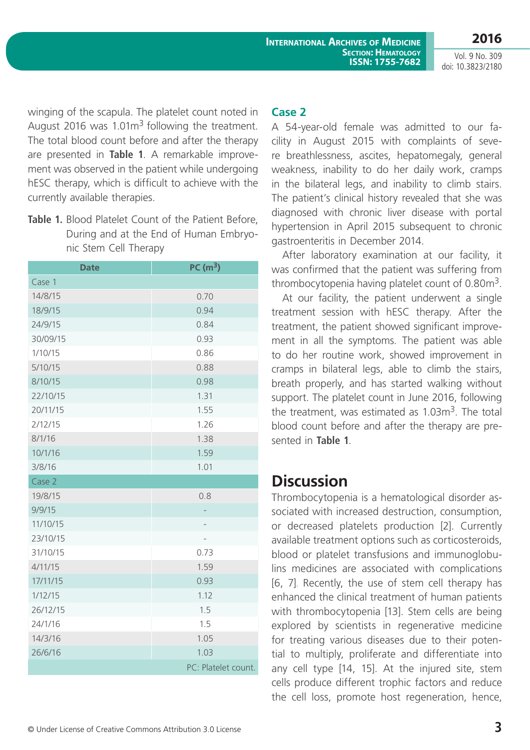Vol. 9 No. 309 doi: 10.3823/2180

**2016**

winging of the scapula. The platelet count noted in August 2016 was  $1.01m<sup>3</sup>$  following the treatment. The total blood count before and after the therapy are presented in **Table 1**. A remarkable improvement was observed in the patient while undergoing hESC therapy, which is difficult to achieve with the currently available therapies.

**Table 1.** Blood Platelet Count of the Patient Before, During and at the End of Human Embryonic Stem Cell Therapy

| <b>Date</b> | PC(m <sup>3</sup> ) |
|-------------|---------------------|
| Case 1      |                     |
| 14/8/15     | 0.70                |
| 18/9/15     | 0.94                |
| 24/9/15     | 0.84                |
| 30/09/15    | 0.93                |
| 1/10/15     | 0.86                |
| 5/10/15     | 0.88                |
| 8/10/15     | 0.98                |
| 22/10/15    | 1.31                |
| 20/11/15    | 1.55                |
| 2/12/15     | 1.26                |
| 8/1/16      | 1.38                |
| 10/1/16     | 1.59                |
| 3/8/16      | 1.01                |
| Case 2      |                     |
| 19/8/15     | 0.8                 |
| 9/9/15      |                     |
| 11/10/15    |                     |
| 23/10/15    |                     |
| 31/10/15    | 0.73                |
| 4/11/15     | 1.59                |
| 17/11/15    | 0.93                |
| 1/12/15     | 1.12                |
| 26/12/15    | 1.5                 |
| 24/1/16     | 1.5                 |
| 14/3/16     | 1.05                |
| 26/6/16     | 1.03                |
|             | PC: Platelet count. |

#### **Case 2**

A 54-year-old female was admitted to our facility in August 2015 with complaints of severe breathlessness, ascites, hepatomegaly, general weakness, inability to do her daily work, cramps in the bilateral legs, and inability to climb stairs. The patient's clinical history revealed that she was diagnosed with chronic liver disease with portal hypertension in April 2015 subsequent to chronic gastroenteritis in December 2014.

After laboratory examination at our facility, it was confirmed that the patient was suffering from thrombocytopenia having platelet count of  $0.80<sup>3</sup>$ .

At our facility, the patient underwent a single treatment session with hESC therapy. After the treatment, the patient showed significant improvement in all the symptoms. The patient was able to do her routine work, showed improvement in cramps in bilateral legs, able to climb the stairs, breath properly, and has started walking without support. The platelet count in June 2016, following the treatment, was estimated as  $1.03\,\mathrm{m}^3$ . The total blood count before and after the therapy are presented in **Table 1**.

# **Discussion**

Thrombocytopenia is a hematological disorder associated with increased destruction, consumption, or decreased platelets production [2]. Currently available treatment options such as corticosteroids, blood or platelet transfusions and immunoglobulins medicines are associated with complications [6, 7]. Recently, the use of stem cell therapy has enhanced the clinical treatment of human patients with thrombocytopenia [13]. Stem cells are being explored by scientists in regenerative medicine for treating various diseases due to their potential to multiply, proliferate and differentiate into any cell type [14, 15]. At the injured site, stem cells produce different trophic factors and reduce the cell loss, promote host regeneration, hence,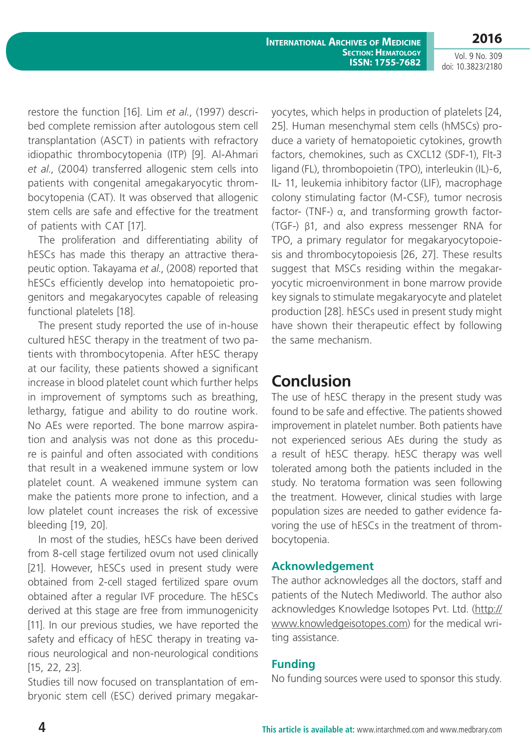Vol. 9 No. 309 doi: 10.3823/2180

restore the function [16]. Lim *et al.*, (1997) described complete remission after autologous stem cell transplantation (ASCT) in patients with refractory idiopathic thrombocytopenia (ITP) [9]. Al-Ahmari *et al*., (2004) transferred allogenic stem cells into patients with congenital amegakaryocytic thrombocytopenia (CAT). It was observed that allogenic stem cells are safe and effective for the treatment of patients with CAT [17].

The proliferation and differentiating ability of hESCs has made this therapy an attractive therapeutic option. Takayama *et al*., (2008) reported that hESCs efficiently develop into hematopoietic progenitors and megakaryocytes capable of releasing functional platelets [18].

The present study reported the use of in-house cultured hESC therapy in the treatment of two patients with thrombocytopenia. After hESC therapy at our facility, these patients showed a significant increase in blood platelet count which further helps in improvement of symptoms such as breathing, lethargy, fatigue and ability to do routine work. No AEs were reported. The bone marrow aspiration and analysis was not done as this procedure is painful and often associated with conditions that result in a weakened immune system or low platelet count. A weakened immune system can make the patients more prone to infection, and a low platelet count increases the risk of excessive bleeding [19, 20].

In most of the studies, hESCs have been derived from 8-cell stage fertilized ovum not used clinically [21]. However, hESCs used in present study were obtained from 2-cell staged fertilized spare ovum obtained after a regular IVF procedure. The hESCs derived at this stage are free from immunogenicity [11]. In our previous studies, we have reported the safety and efficacy of hESC therapy in treating various neurological and non-neurological conditions [15, 22, 23].

Studies till now focused on transplantation of embryonic stem cell (ESC) derived primary megakaryocytes, which helps in production of platelets [24, 25]. Human mesenchymal stem cells (hMSCs) produce a variety of hematopoietic cytokines, growth factors, chemokines, such as CXCL12 (SDF-1), Flt-3 ligand (FL), thrombopoietin (TPO), interleukin (IL)-6, IL- 11, leukemia inhibitory factor (LIF), macrophage colony stimulating factor (M-CSF), tumor necrosis factor- (TNF-) α, and transforming growth factor- (TGF-) β1, and also express messenger RNA for TPO, a primary regulator for megakaryocytopoiesis and thrombocytopoiesis [26, 27]. These results suggest that MSCs residing within the megakaryocytic microenvironment in bone marrow provide key signals to stimulate megakaryocyte and platelet production [28]. hESCs used in present study might have shown their therapeutic effect by following the same mechanism.

### **Conclusion**

The use of hESC therapy in the present study was found to be safe and effective. The patients showed improvement in platelet number. Both patients have not experienced serious AEs during the study as a result of hESC therapy. hESC therapy was well tolerated among both the patients included in the study. No teratoma formation was seen following the treatment. However, clinical studies with large population sizes are needed to gather evidence favoring the use of hESCs in the treatment of thrombocytopenia.

### **Acknowledgement**

The author acknowledges all the doctors, staff and patients of the Nutech Mediworld. The author also acknowledges Knowledge Isotopes Pvt. Ltd. (http:// www.knowledgeisotopes.com) for the medical writing assistance.

### **Funding**

No funding sources were used to sponsor this study.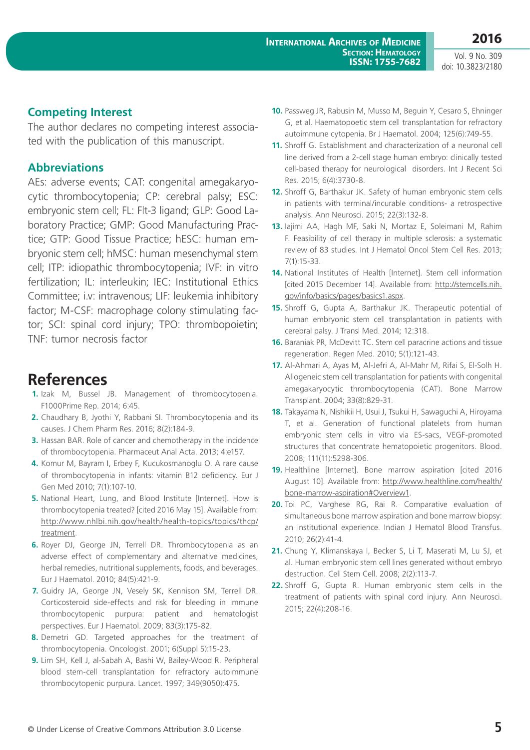Vol. 9 No. 309 doi: 10.3823/2180

#### **Competing Interest**

The author declares no competing interest associated with the publication of this manuscript.

#### **Abbreviations**

AEs: adverse events; CAT: congenital amegakaryocytic thrombocytopenia; CP: cerebral palsy; ESC: embryonic stem cell; FL: Flt-3 ligand; GLP: Good Laboratory Practice; GMP: Good Manufacturing Practice; GTP: Good Tissue Practice; hESC: human embryonic stem cell; hMSC: human mesenchymal stem cell; ITP: idiopathic thrombocytopenia; IVF: in vitro fertilization; IL: interleukin; IEC: Institutional Ethics Committee; i.v: intravenous; LIF: leukemia inhibitory factor; M-CSF: macrophage colony stimulating factor; SCI: spinal cord injury; TPO: thrombopoietin; TNF: tumor necrosis factor

# **References**

- **1.** Izak M, Bussel JB. Management of thrombocytopenia. F1000Prime Rep. 2014; 6:45.
- **2.** Chaudhary B, Jyothi Y, Rabbani SI. Thrombocytopenia and its causes. J Chem Pharm Res. 2016; 8(2):184-9.
- **3.** Hassan BAR. Role of cancer and chemotherapy in the incidence of thrombocytopenia. Pharmaceut Anal Acta. 2013; 4:e157.
- **4.** Komur M, Bayram I, Erbey F, Kucukosmanoglu O. A rare cause of thrombocytopenia in infants: vitamin B12 deficiency. Eur J Gen Med 2010; 7(1):107-10.
- **5.** National Heart, Lung, and Blood Institute [Internet]. How is thrombocytopenia treated? [cited 2016 May 15]. Available from: [http://www.nhlbi.nih.gov/health/health-topics/topics/thcp/](http://www.nhlbi.nih.gov/health/health-topics/topics/thcp/treatment) [treatment](http://www.nhlbi.nih.gov/health/health-topics/topics/thcp/treatment).
- **6.** Royer DJ, George JN, Terrell DR. Thrombocytopenia as an adverse effect of complementary and alternative medicines, herbal remedies, nutritional supplements, foods, and beverages. Eur J Haematol. 2010; 84(5):421-9.
- **7.** Guidry JA, George JN, Vesely SK, Kennison SM, Terrell DR. Corticosteroid side-effects and risk for bleeding in immune thrombocytopenic purpura: patient and hematologist perspectives. Eur J Haematol. 2009; 83(3):175-82.
- **8.** Demetri GD. Targeted approaches for the treatment of thrombocytopenia. Oncologist. 2001; 6(Suppl 5):15-23.
- **9.** Lim SH, Kell J, al-Sabah A, Bashi W, Bailey-Wood R. Peripheral blood stem-cell transplantation for refractory autoimmune thrombocytopenic purpura. Lancet. 1997; 349(9050):475.
- **10.** Passweg JR, Rabusin M, Musso M, Beguin Y, Cesaro S, Ehninger G, et al. Haematopoetic stem cell transplantation for refractory autoimmune cytopenia. Br J Haematol. 2004; 125(6):749-55.
- **11.** Shroff G. Establishment and characterization of a neuronal cell line derived from a 2-cell stage human embryo: clinically tested cell-based therapy for neurological disorders. Int J Recent Sci Res. 2015; 6(4):3730-8.
- **12.** Shroff G, Barthakur JK. Safety of human embryonic stem cells in patients with terminal/incurable conditions- a retrospective analysis. Ann Neurosci. 2015; 22(3):132-8.
- **13.** Iajimi AA, Hagh MF, Saki N, Mortaz E, Soleimani M, Rahim F. Feasibility of cell therapy in multiple sclerosis: a systematic review of 83 studies. Int J Hematol Oncol Stem Cell Res. 2013; 7(1):15-33.
- **14.** National Institutes of Health [Internet]. Stem cell information [cited 2015 December 14]. Available from: [http://stemcells.nih.](http://stemcells.nih.gov/info/basics/pages/basics1.aspx) [gov/info/basics/pages/basics1.aspx.](http://stemcells.nih.gov/info/basics/pages/basics1.aspx)
- **15.** Shroff G, Gupta A, Barthakur JK. Therapeutic potential of human embryonic stem cell transplantation in patients with cerebral palsy. J Transl Med. 2014; 12:318.
- **16.** Baraniak PR, McDevitt TC. Stem cell paracrine actions and tissue regeneration. Regen Med. 2010; 5(1):121-43.
- **17.** Al-Ahmari A, Ayas M, Al-Jefri A, Al-Mahr M, Rifai S, El-Solh H. Allogeneic stem cell transplantation for patients with congenital amegakaryocytic thrombocytopenia (CAT). Bone Marrow Transplant. 2004; 33(8):829-31.
- **18.** Takayama N, Nishikii H, Usui J, Tsukui H, Sawaguchi A, Hiroyama T, et al. Generation of functional platelets from human embryonic stem cells in vitro via ES-sacs, VEGF-promoted structures that concentrate hematopoietic progenitors. Blood. 2008; 111(11):5298-306.
- **19.** Healthline [Internet]. Bone marrow aspiration [cited 2016 August 10]. Available from: [http://www.healthline.com/health/](http://www.healthline.com/health/bone-marrow-aspiration#Overview1) [bone-marrow-aspiration#Overview1.](http://www.healthline.com/health/bone-marrow-aspiration#Overview1)
- **20.** Toi PC, Varghese RG, Rai R. Comparative evaluation of simultaneous bone marrow aspiration and bone marrow biopsy: an institutional experience. Indian J Hematol Blood Transfus. 2010; 26(2):41-4.
- **21.** Chung Y, Klimanskaya I, Becker S, Li T, Maserati M, Lu SJ, et al. Human embryonic stem cell lines generated without embryo destruction. Cell Stem Cell. 2008; 2(2):113-7.
- **22.** Shroff G, Gupta R. Human embryonic stem cells in the treatment of patients with spinal cord injury. Ann Neurosci. 2015; 22(4):208-16.